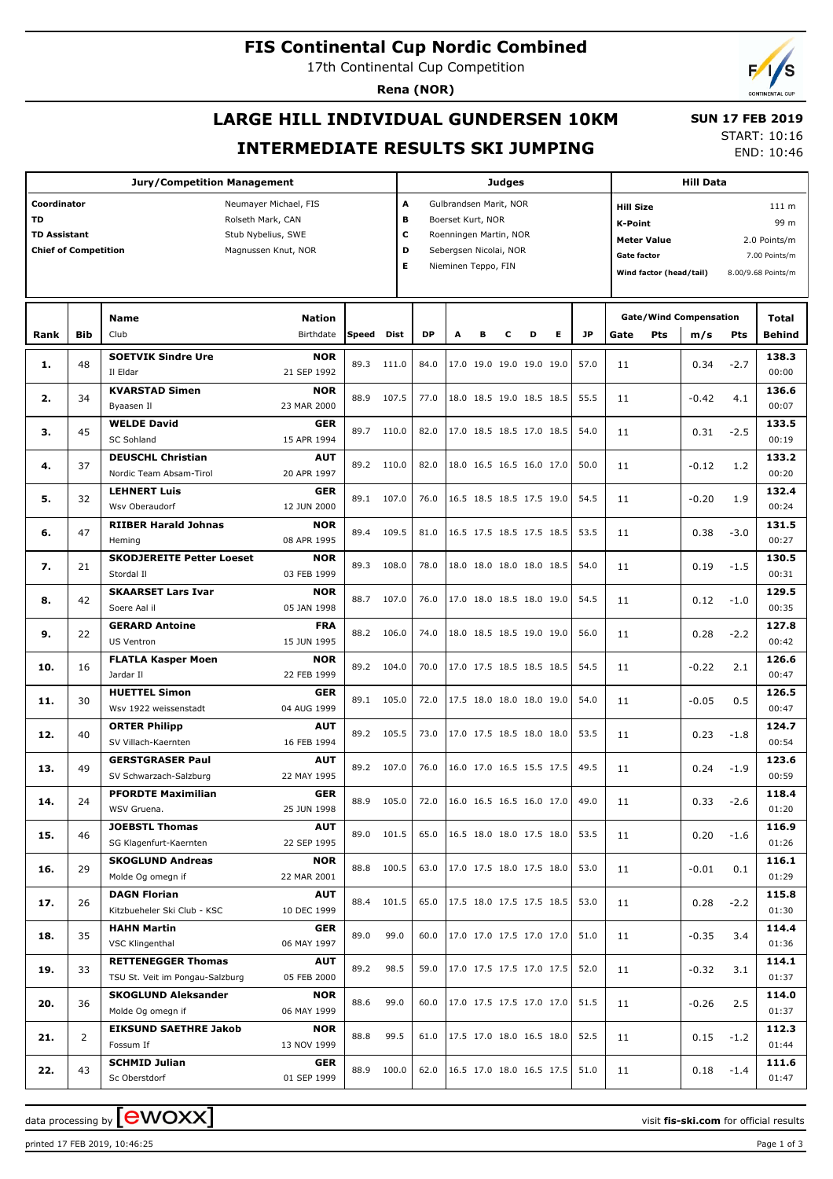## **FIS Continental Cup Nordic Combined**

17th Continental Cup Competition

**Jury/Competition Management**

**Coordinator** Neumayer Michael, FIS

**Rena (NOR)**

# **LARGE HILL INDIVIDUAL GUNDERSEN 10KM INTERMEDIATE RESULTS SKI JUMPING**

**Judges**

**A** Gulbrandsen Marit, NOR

 **SUN 17 FEB 2019** START: 10:16

**Hill Data**

**Hill Size** 111 m

END: 10:46

| TD<br><b>TD Assistant</b><br><b>Chief of Competition</b> |                |                                                              | Rolseth Mark, CAN<br>Stub Nybelius, SWE<br>Magnussen Knut, NOR |       | в<br>С<br>D<br>Е |      | Boerset Kurt, NOR<br>Roenningen Martin, NOR<br>Sebergsen Nicolai, NOR<br>Nieminen Teppo, FIN |   |   |                          |   |      | <b>K-Point</b><br><b>Gate factor</b> | <b>Meter Value</b><br>Wind factor (head/tail) |                                      |        | 99 m<br>2.0 Points/m<br>7.00 Points/m<br>8.00/9.68 Points/m |
|----------------------------------------------------------|----------------|--------------------------------------------------------------|----------------------------------------------------------------|-------|------------------|------|----------------------------------------------------------------------------------------------|---|---|--------------------------|---|------|--------------------------------------|-----------------------------------------------|--------------------------------------|--------|-------------------------------------------------------------|
| Rank                                                     | Bib            | Name<br>Club                                                 | <b>Nation</b><br>Birthdate                                     | Speed | Dist             | DP   | A                                                                                            | в | c | D                        | Е | JP   | Gate                                 | Pts                                           | <b>Gate/Wind Compensation</b><br>m/s | Pts    | Total<br><b>Behind</b>                                      |
|                                                          |                |                                                              |                                                                |       |                  |      |                                                                                              |   |   |                          |   |      |                                      |                                               |                                      |        |                                                             |
| 1.                                                       | 48             | <b>SOETVIK Sindre Ure</b><br>Il Eldar                        | <b>NOR</b><br>21 SEP 1992                                      | 89.3  | 111.0            | 84.0 |                                                                                              |   |   | 17.0 19.0 19.0 19.0 19.0 |   | 57.0 | 11                                   |                                               | 0.34                                 | $-2.7$ | 138.3<br>00:00                                              |
| 2.                                                       | 34             | <b>KVARSTAD Simen</b><br>Byaasen Il                          | <b>NOR</b><br>23 MAR 2000                                      | 88.9  | 107.5            | 77.0 |                                                                                              |   |   | 18.0 18.5 19.0 18.5 18.5 |   | 55.5 | 11                                   |                                               | $-0.42$                              | 4.1    | 136.6<br>00:07                                              |
| з.                                                       | 45             | <b>WELDE David</b><br><b>SC Sohland</b>                      | <b>GER</b><br>15 APR 1994                                      | 89.7  | 110.0            | 82.0 |                                                                                              |   |   | 17.0 18.5 18.5 17.0 18.5 |   | 54.0 | 11                                   |                                               | 0.31                                 | $-2.5$ | 133.5<br>00:19                                              |
| 4.                                                       | 37             | <b>DEUSCHL Christian</b><br>Nordic Team Absam-Tirol          | <b>AUT</b><br>20 APR 1997                                      | 89.2  | 110.0            | 82.0 |                                                                                              |   |   | 18.0 16.5 16.5 16.0 17.0 |   | 50.0 | 11                                   |                                               | -0.12                                | 1.2    | 133.2<br>00:20                                              |
| 5.                                                       | 32             | <b>LEHNERT Luis</b><br>Wsv Oberaudorf                        | <b>GER</b><br>12 JUN 2000                                      | 89.1  | 107.0            | 76.0 |                                                                                              |   |   | 16.5 18.5 18.5 17.5 19.0 |   | 54.5 | 11                                   |                                               | $-0.20$                              | 1.9    | 132.4<br>00:24                                              |
| 6.                                                       | 47             | <b>RIIBER Harald Johnas</b><br>Hemina                        | <b>NOR</b><br>08 APR 1995                                      | 89.4  | 109.5            | 81.0 |                                                                                              |   |   | 16.5 17.5 18.5 17.5 18.5 |   | 53.5 | 11                                   |                                               | 0.38                                 | $-3.0$ | 131.5<br>00:27                                              |
| 7.                                                       | 21             | <b>SKODJEREITE Petter Loeset</b><br>Stordal II               | <b>NOR</b><br>03 FEB 1999                                      | 89.3  | 108.0            | 78.0 |                                                                                              |   |   | 18.0 18.0 18.0 18.0 18.5 |   | 54.0 | 11                                   |                                               | 0.19                                 | $-1.5$ | 130.5<br>00:31                                              |
| 8.                                                       | 42             | <b>SKAARSET Lars Ivar</b><br>Soere Aal il                    | <b>NOR</b><br>05 JAN 1998                                      | 88.7  | 107.0            | 76.0 |                                                                                              |   |   | 17.0 18.0 18.5 18.0 19.0 |   | 54.5 | 11                                   |                                               | 0.12                                 | $-1.0$ | 129.5<br>00:35                                              |
| 9.                                                       | 22             | <b>GERARD Antoine</b>                                        | <b>FRA</b><br>15 JUN 1995                                      | 88.2  | 106.0            | 74.0 |                                                                                              |   |   | 18.0 18.5 18.5 19.0 19.0 |   | 56.0 | 11                                   |                                               | 0.28                                 | $-2.2$ | 127.8<br>00:42                                              |
| 10.                                                      | 16             | <b>US Ventron</b><br><b>FLATLA Kasper Moen</b>               | <b>NOR</b>                                                     | 89.2  | 104.0            | 70.0 |                                                                                              |   |   | 17.0 17.5 18.5 18.5 18.5 |   | 54.5 | 11                                   |                                               | $-0.22$                              | 2.1    | 126.6                                                       |
| 11.                                                      | 30             | Jardar II<br><b>HUETTEL Simon</b>                            | 22 FEB 1999<br><b>GER</b>                                      | 89.1  | 105.0            | 72.0 |                                                                                              |   |   | 17.5 18.0 18.0 18.0 19.0 |   | 54.0 | 11                                   |                                               | $-0.05$                              | 0.5    | 00:47<br>126.5                                              |
| 12.                                                      | 40             | Wsv 1922 weissenstadt<br><b>ORTER Philipp</b>                | 04 AUG 1999<br>AUT                                             | 89.2  | 105.5            | 73.0 |                                                                                              |   |   | 17.0 17.5 18.5 18.0 18.0 |   | 53.5 | 11                                   |                                               | 0.23                                 | $-1.8$ | 00:47<br>124.7                                              |
| 13.                                                      | 49             | SV Villach-Kaernten<br><b>GERSTGRASER Paul</b>               | 16 FEB 1994<br>AUT                                             | 89.2  | 107.0            | 76.0 |                                                                                              |   |   | 16.0 17.0 16.5 15.5 17.5 |   | 49.5 | 11                                   |                                               | 0.24                                 | $-1.9$ | 00:54<br>123.6                                              |
| 14.                                                      | 24             | SV Schwarzach-Salzburg<br><b>PFORDTE Maximilian</b>          | 22 MAY 1995<br><b>GER</b>                                      | 88.9  | 105.0            | 72.0 |                                                                                              |   |   | 16.0 16.5 16.5 16.0 17.0 |   | 49.0 | 11                                   |                                               | 0.33                                 |        | 00:59<br>118.4                                              |
|                                                          |                | WSV Gruena.<br><b>JOEBSTL Thomas</b>                         | 25 JUN 1998<br><b>AUT</b>                                      |       |                  |      |                                                                                              |   |   |                          |   |      |                                      |                                               |                                      | $-2.6$ | 01:20<br>116.9                                              |
| 15.                                                      | 46             | SG Klagenfurt-Kaernten<br><b>SKOGLUND Andreas</b>            | 22 SEP 1995<br><b>NOR</b>                                      | 89.0  | 101.5            | 65.0 |                                                                                              |   |   | 16.5 18.0 18.0 17.5 18.0 |   | 53.5 | 11                                   |                                               | 0.20                                 | $-1.6$ | 01:26<br>116.1                                              |
| 16.                                                      | 29             | Molde Og omegn if<br><b>DAGN Florian</b>                     | 22 MAR 2001                                                    | 88.8  | 100.5            | 63.0 |                                                                                              |   |   | 17.0 17.5 18.0 17.5 18.0 |   | 53.0 | 11                                   |                                               | $-0.01$                              | 0.1    | 01:29                                                       |
| 17.                                                      | 26             | Kitzbueheler Ski Club - KSC                                  | <b>AUT</b><br>10 DEC 1999                                      | 88.4  | 101.5            | 65.0 |                                                                                              |   |   | 17.5 18.0 17.5 17.5 18.5 |   | 53.0 | 11                                   |                                               | 0.28                                 | $-2.2$ | 115.8<br>01:30                                              |
| 18.                                                      | 35             | <b>HAHN Martin</b><br>VSC Klingenthal                        | <b>GER</b><br>06 MAY 1997                                      | 89.0  | 99.0             | 60.0 |                                                                                              |   |   | 17.0 17.0 17.5 17.0 17.0 |   | 51.0 | 11                                   |                                               | $-0.35$                              | 3.4    | 114.4<br>01:36                                              |
| 19.                                                      | 33             | <b>RETTENEGGER Thomas</b><br>TSU St. Veit im Pongau-Salzburg | <b>AUT</b><br>05 FEB 2000                                      | 89.2  | 98.5             | 59.0 |                                                                                              |   |   | 17.0 17.5 17.5 17.0 17.5 |   | 52.0 | 11                                   |                                               | $-0.32$                              | 3.1    | 114.1<br>01:37                                              |
| 20.                                                      | 36             | <b>SKOGLUND Aleksander</b><br>Molde Og omegn if              | <b>NOR</b><br>06 MAY 1999                                      | 88.6  | 99.0             | 60.0 |                                                                                              |   |   | 17.0 17.5 17.5 17.0 17.0 |   | 51.5 | 11                                   |                                               | $-0.26$                              | 2.5    | 114.0<br>01:37                                              |
| 21.                                                      | $\overline{2}$ | <b>EIKSUND SAETHRE Jakob</b><br>Fossum If                    | <b>NOR</b><br>13 NOV 1999                                      | 88.8  | 99.5             | 61.0 |                                                                                              |   |   | 17.5 17.0 18.0 16.5 18.0 |   | 52.5 | 11                                   |                                               | 0.15                                 | $-1.2$ | 112.3<br>01:44                                              |
| 22.                                                      | 43             | <b>SCHMID Julian</b><br>Sc Oberstdorf                        | <b>GER</b><br>01 SEP 1999                                      | 88.9  | 100.0            | 62.0 |                                                                                              |   |   | 16.5 17.0 18.0 16.5 17.5 |   | 51.0 | 11                                   |                                               | 0.18                                 | $-1.4$ | 111.6<br>01:47                                              |
|                                                          |                |                                                              |                                                                |       |                  |      |                                                                                              |   |   |                          |   |      |                                      |                                               |                                      |        |                                                             |

printed 17 FEB 2019, 10:46:25 Page 1 of 3

data processing by  $\boxed{\text{ewOX}}$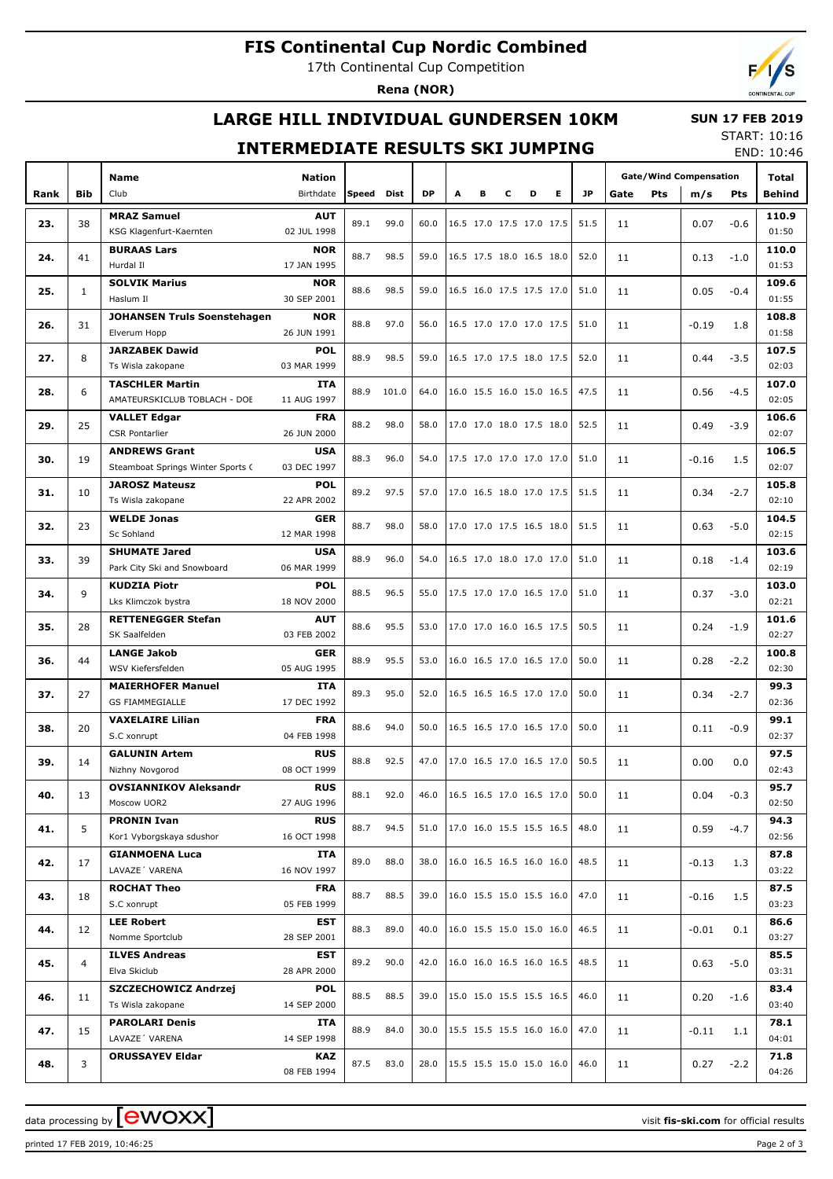# **FIS Continental Cup Nordic Combined**

17th Continental Cup Competition

**Rena (NOR)**

## **LARGE HILL INDIVIDUAL GUNDERSEN 10KM**

#### **SUN 17 FEB 2019**

### **INTERMEDIATE RESULTS SKI JUMPING**

START: 10:16 END: 10:46

|      |                | <b>Name</b>                                            | <b>Nation</b>             |       |       |           |   |   |   |                          |   |           | <b>Gate/Wind Compensation</b> |         |        | Total          |
|------|----------------|--------------------------------------------------------|---------------------------|-------|-------|-----------|---|---|---|--------------------------|---|-----------|-------------------------------|---------|--------|----------------|
| Rank | <b>Bib</b>     | Club                                                   | Birthdate                 | Speed | Dist  | <b>DP</b> | A | в | c | D                        | Е | <b>JP</b> | Pts<br>Gate                   | m/s     | Pts    | Behind         |
|      |                | <b>MRAZ Samuel</b>                                     | <b>AUT</b>                |       |       |           |   |   |   |                          |   |           |                               |         |        | 110.9          |
| 23.  | 38             | KSG Klagenfurt-Kaernten                                | 02 JUL 1998               | 89.1  | 99.0  | 60.0      |   |   |   | 16.5 17.0 17.5 17.0 17.5 |   | 51.5      | 11                            | 0.07    | $-0.6$ | 01:50          |
|      |                | <b>BURAAS Lars</b>                                     | <b>NOR</b>                |       |       |           |   |   |   |                          |   |           |                               |         |        | 110.0          |
| 24.  | 41             | Hurdal II                                              | 17 JAN 1995               | 88.7  | 98.5  | 59.0      |   |   |   | 16.5 17.5 18.0 16.5 18.0 |   | 52.0      | 11                            | 0.13    | $-1.0$ | 01:53          |
|      |                | <b>SOLVIK Marius</b>                                   | <b>NOR</b>                | 88.6  | 98.5  | 59.0      |   |   |   | 16.5 16.0 17.5 17.5 17.0 |   | 51.0      |                               |         |        | 109.6          |
| 25.  | $\mathbf{1}$   | Haslum II                                              | 30 SEP 2001               |       |       |           |   |   |   |                          |   |           | 11                            | 0.05    | $-0.4$ | 01:55          |
| 26.  | 31             | <b>JOHANSEN Truls Soenstehagen</b>                     | <b>NOR</b>                | 88.8  | 97.0  | 56.0      |   |   |   | 16.5 17.0 17.0 17.0 17.5 |   | 51.0      | 11                            | $-0.19$ | 1.8    | 108.8          |
|      |                | Elverum Hopp                                           | 26 JUN 1991               |       |       |           |   |   |   |                          |   |           |                               |         |        | 01:58          |
| 27.  | 8              | <b>JARZABEK Dawid</b>                                  | <b>POL</b>                | 88.9  | 98.5  | 59.0      |   |   |   | 16.5 17.0 17.5 18.0 17.5 |   | 52.0      | 11                            | 0.44    | $-3.5$ | 107.5          |
|      |                | Ts Wisla zakopane                                      | 03 MAR 1999               |       |       |           |   |   |   |                          |   |           |                               |         |        | 02:03          |
| 28.  | 6              | <b>TASCHLER Martin</b><br>AMATEURSKICLUB TOBLACH - DOE | <b>ITA</b><br>11 AUG 1997 | 88.9  | 101.0 | 64.0      |   |   |   | 16.0 15.5 16.0 15.0 16.5 |   | 47.5      | 11                            | 0.56    | $-4.5$ | 107.0<br>02:05 |
|      |                | <b>VALLET Edgar</b>                                    | <b>FRA</b>                |       |       |           |   |   |   |                          |   |           |                               |         |        | 106.6          |
| 29.  | 25             | <b>CSR Pontarlier</b>                                  | 26 JUN 2000               | 88.2  | 98.0  | 58.0      |   |   |   | 17.0 17.0 18.0 17.5 18.0 |   | 52.5      | 11                            | 0.49    | $-3.9$ | 02:07          |
|      |                | <b>ANDREWS Grant</b>                                   | <b>USA</b>                |       |       |           |   |   |   |                          |   |           |                               |         |        | 106.5          |
| 30.  | 19             | Steamboat Springs Winter Sports C                      | 03 DEC 1997               | 88.3  | 96.0  | 54.0      |   |   |   | 17.5 17.0 17.0 17.0 17.0 |   | 51.0      | 11                            | $-0.16$ | 1.5    | 02:07          |
|      |                | <b>JAROSZ Mateusz</b>                                  | <b>POL</b>                |       |       |           |   |   |   |                          |   |           |                               |         |        | 105.8          |
| 31.  | 10             | Ts Wisla zakopane                                      | 22 APR 2002               | 89.2  | 97.5  | 57.0      |   |   |   | 17.0 16.5 18.0 17.0 17.5 |   | 51.5      | 11                            | 0.34    | $-2.7$ | 02:10          |
| 32.  | 23             | <b>WELDE Jonas</b>                                     | <b>GER</b>                | 88.7  | 98.0  | 58.0      |   |   |   | 17.0 17.0 17.5 16.5 18.0 |   | 51.5      | 11                            | 0.63    | $-5.0$ | 104.5          |
|      |                | Sc Sohland                                             | 12 MAR 1998               |       |       |           |   |   |   |                          |   |           |                               |         |        | 02:15          |
| 33.  | 39             | <b>SHUMATE Jared</b>                                   | <b>USA</b>                | 88.9  | 96.0  | 54.0      |   |   |   | 16.5 17.0 18.0 17.0 17.0 |   | 51.0      | 11                            | 0.18    | $-1.4$ | 103.6          |
|      |                | Park City Ski and Snowboard                            | 06 MAR 1999               |       |       |           |   |   |   |                          |   |           |                               |         |        | 02:19          |
| 34.  | 9              | <b>KUDZIA Piotr</b>                                    | <b>POL</b>                | 88.5  | 96.5  | 55.0      |   |   |   | 17.5 17.0 17.0 16.5 17.0 |   | 51.0      | 11                            | 0.37    | $-3.0$ | 103.0          |
|      |                | Lks Klimczok bystra<br><b>RETTENEGGER Stefan</b>       | 18 NOV 2000<br><b>AUT</b> |       |       |           |   |   |   |                          |   |           |                               |         |        | 02:21<br>101.6 |
| 35.  | 28             | SK Saalfelden                                          | 03 FEB 2002               | 88.6  | 95.5  | 53.0      |   |   |   | 17.0 17.0 16.0 16.5 17.5 |   | 50.5      | 11                            | 0.24    | $-1.9$ | 02:27          |
|      |                | <b>LANGE Jakob</b>                                     | <b>GER</b>                |       |       |           |   |   |   |                          |   |           |                               |         |        | 100.8          |
| 36.  | 44             | WSV Kiefersfelden                                      | 05 AUG 1995               | 88.9  | 95.5  | 53.0      |   |   |   | 16.0 16.5 17.0 16.5 17.0 |   | 50.0      | 11                            | 0.28    | $-2.2$ | 02:30          |
|      |                | <b>MAIERHOFER Manuel</b>                               | ITA                       |       |       |           |   |   |   |                          |   |           |                               |         |        | 99.3           |
| 37.  | 27             | <b>GS FIAMMEGIALLE</b>                                 | 17 DEC 1992               | 89.3  | 95.0  | 52.0      |   |   |   | 16.5 16.5 16.5 17.0 17.0 |   | 50.0      | 11                            | 0.34    | $-2.7$ | 02:36          |
| 38.  | 20             | <b>VAXELAIRE Lilian</b>                                | <b>FRA</b>                | 88.6  | 94.0  | 50.0      |   |   |   | 16.5 16.5 17.0 16.5 17.0 |   | 50.0      | 11                            | 0.11    | $-0.9$ | 99.1           |
|      |                | S.C xonrupt                                            | 04 FEB 1998               |       |       |           |   |   |   |                          |   |           |                               |         |        | 02:37          |
| 39.  | 14             | <b>GALUNIN Artem</b>                                   | <b>RUS</b>                | 88.8  | 92.5  | 47.0      |   |   |   | 17.0 16.5 17.0 16.5 17.0 |   | 50.5      | 11                            | 0.00    | 0.0    | 97.5           |
|      |                | Nizhny Novgorod                                        | 08 OCT 1999               |       |       |           |   |   |   |                          |   |           |                               |         |        | 02:43          |
| 40.  | 13             | <b>OVSIANNIKOV Aleksandr</b>                           | <b>RUS</b><br>27 AUG 1996 | 88.1  | 92.0  | 46.0      |   |   |   | 16.5 16.5 17.0 16.5 17.0 |   | 50.0      | 11                            | 0.04    | $-0.3$ | 95.7<br>02:50  |
|      |                | Moscow UOR2<br><b>PRONIN Ivan</b>                      | <b>RUS</b>                |       |       |           |   |   |   |                          |   |           |                               |         |        | 94.3           |
| 41.  | 5              | Kor1 Vyborgskaya sdushor                               | 16 OCT 1998               | 88.7  | 94.5  | 51.0      |   |   |   | 17.0 16.0 15.5 15.5 16.5 |   | 48.0      | 11                            | 0.59    | $-4.7$ | 02:56          |
|      |                | <b>GIANMOENA Luca</b>                                  | ITA                       |       |       |           |   |   |   |                          |   |           |                               |         |        | 87.8           |
| 42.  | 17             | LAVAZE <sup>'</sup> VARENA                             | 16 NOV 1997               | 89.0  | 88.0  | 38.0      |   |   |   | 16.0 16.5 16.5 16.0 16.0 |   | 48.5      | 11                            | $-0.13$ | 1.3    | 03:22          |
|      |                | <b>ROCHAT Theo</b>                                     | <b>FRA</b>                |       |       |           |   |   |   | 16.0 15.5 15.0 15.5 16.0 |   |           |                               |         |        | 87.5           |
| 43.  | 18             | S.C xonrupt                                            | 05 FEB 1999               | 88.7  | 88.5  | 39.0      |   |   |   |                          |   | 47.0      | 11                            | $-0.16$ | 1.5    | 03:23          |
| 44.  | 12             | <b>LEE Robert</b>                                      | EST                       | 88.3  | 89.0  | 40.0      |   |   |   | 16.0 15.5 15.0 15.0 16.0 |   | 46.5      | 11                            | $-0.01$ | 0.1    | 86.6           |
|      |                | Nomme Sportclub                                        | 28 SEP 2001               |       |       |           |   |   |   |                          |   |           |                               |         |        | 03:27          |
| 45.  | $\overline{4}$ | <b>ILVES Andreas</b>                                   | EST                       | 89.2  | 90.0  | 42.0      |   |   |   | 16.0 16.0 16.5 16.0 16.5 |   | 48.5      | 11                            | 0.63    | $-5.0$ | 85.5           |
|      |                | Elva Skiclub                                           | 28 APR 2000               |       |       |           |   |   |   |                          |   |           |                               |         |        | 03:31          |
| 46.  | 11             | SZCZECHOWICZ Andrzej                                   | <b>POL</b>                | 88.5  | 88.5  | 39.0      |   |   |   | 15.0 15.0 15.5 15.5 16.5 |   | 46.0      | 11                            | 0.20    | $-1.6$ | 83.4<br>03:40  |
|      |                | Ts Wisla zakopane                                      | 14 SEP 2000               |       |       |           |   |   |   |                          |   |           |                               |         |        | 78.1           |
| 47.  | 15             | <b>PAROLARI Denis</b><br>LAVAZE' VARENA                | ITA<br>14 SEP 1998        | 88.9  | 84.0  | 30.0      |   |   |   | 15.5 15.5 15.5 16.0 16.0 |   | 47.0      | 11                            | $-0.11$ | 1.1    | 04:01          |
|      |                | <b>ORUSSAYEV Eldar</b>                                 | KAZ                       |       |       |           |   |   |   |                          |   |           |                               |         |        | 71.8           |
| 48.  | 3              |                                                        | 08 FEB 1994               | 87.5  | 83.0  | 28.0      |   |   |   | 15.5 15.5 15.0 15.0 16.0 |   | 46.0      | 11                            | 0.27    | $-2.2$ | 04:26          |

printed 17 FEB 2019, 10:46:25 Page 2 of 3

data processing by **CWOXX** and  $\overline{A}$  wisit **fis-ski.com** for official results